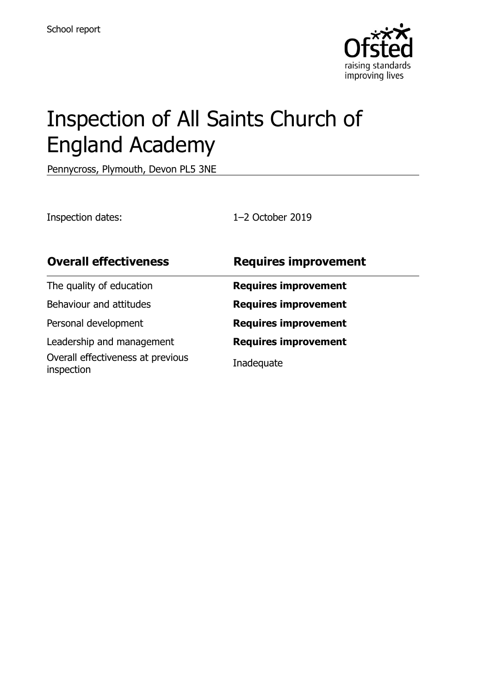

# Inspection of All Saints Church of England Academy

Pennycross, Plymouth, Devon PL5 3NE

Inspection dates: 1–2 October 2019

| <b>Overall effectiveness</b>                    | <b>Requires improvement</b> |
|-------------------------------------------------|-----------------------------|
| The quality of education                        | <b>Requires improvement</b> |
| Behaviour and attitudes                         | <b>Requires improvement</b> |
| Personal development                            | <b>Requires improvement</b> |
| Leadership and management                       | <b>Requires improvement</b> |
| Overall effectiveness at previous<br>inspection | Inadequate                  |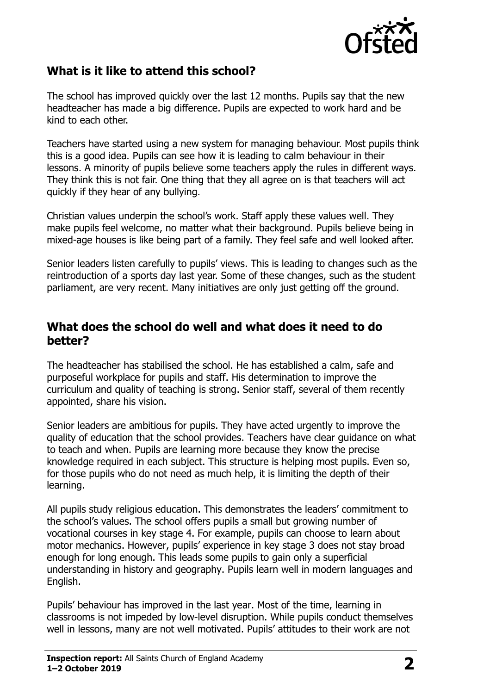

#### **What is it like to attend this school?**

The school has improved quickly over the last 12 months. Pupils say that the new headteacher has made a big difference. Pupils are expected to work hard and be kind to each other.

Teachers have started using a new system for managing behaviour. Most pupils think this is a good idea. Pupils can see how it is leading to calm behaviour in their lessons. A minority of pupils believe some teachers apply the rules in different ways. They think this is not fair. One thing that they all agree on is that teachers will act quickly if they hear of any bullying.

Christian values underpin the school's work. Staff apply these values well. They make pupils feel welcome, no matter what their background. Pupils believe being in mixed-age houses is like being part of a family. They feel safe and well looked after.

Senior leaders listen carefully to pupils' views. This is leading to changes such as the reintroduction of a sports day last year. Some of these changes, such as the student parliament, are very recent. Many initiatives are only just getting off the ground.

#### **What does the school do well and what does it need to do better?**

The headteacher has stabilised the school. He has established a calm, safe and purposeful workplace for pupils and staff. His determination to improve the curriculum and quality of teaching is strong. Senior staff, several of them recently appointed, share his vision.

Senior leaders are ambitious for pupils. They have acted urgently to improve the quality of education that the school provides. Teachers have clear guidance on what to teach and when. Pupils are learning more because they know the precise knowledge required in each subject. This structure is helping most pupils. Even so, for those pupils who do not need as much help, it is limiting the depth of their learning.

All pupils study religious education. This demonstrates the leaders' commitment to the school's values. The school offers pupils a small but growing number of vocational courses in key stage 4. For example, pupils can choose to learn about motor mechanics. However, pupils' experience in key stage 3 does not stay broad enough for long enough. This leads some pupils to gain only a superficial understanding in history and geography. Pupils learn well in modern languages and English.

Pupils' behaviour has improved in the last year. Most of the time, learning in classrooms is not impeded by low-level disruption. While pupils conduct themselves well in lessons, many are not well motivated. Pupils' attitudes to their work are not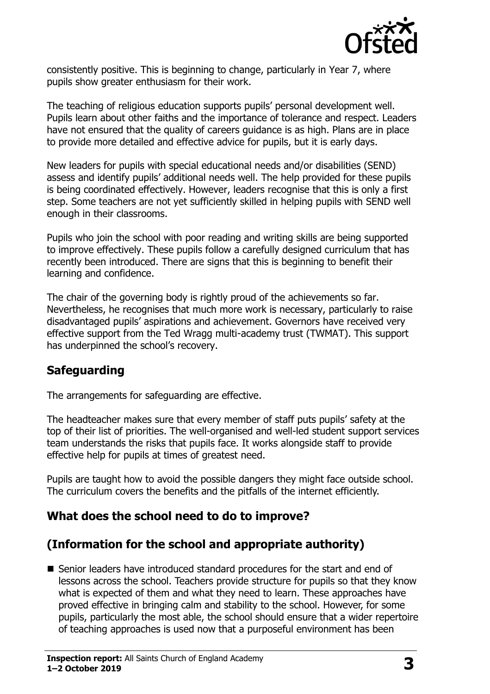

consistently positive. This is beginning to change, particularly in Year 7, where pupils show greater enthusiasm for their work.

The teaching of religious education supports pupils' personal development well. Pupils learn about other faiths and the importance of tolerance and respect. Leaders have not ensured that the quality of careers guidance is as high. Plans are in place to provide more detailed and effective advice for pupils, but it is early days.

New leaders for pupils with special educational needs and/or disabilities (SEND) assess and identify pupils' additional needs well. The help provided for these pupils is being coordinated effectively. However, leaders recognise that this is only a first step. Some teachers are not yet sufficiently skilled in helping pupils with SEND well enough in their classrooms.

Pupils who join the school with poor reading and writing skills are being supported to improve effectively. These pupils follow a carefully designed curriculum that has recently been introduced. There are signs that this is beginning to benefit their learning and confidence.

The chair of the governing body is rightly proud of the achievements so far. Nevertheless, he recognises that much more work is necessary, particularly to raise disadvantaged pupils' aspirations and achievement. Governors have received very effective support from the Ted Wragg multi-academy trust (TWMAT). This support has underpinned the school's recovery.

#### **Safeguarding**

The arrangements for safeguarding are effective.

The headteacher makes sure that every member of staff puts pupils' safety at the top of their list of priorities. The well-organised and well-led student support services team understands the risks that pupils face. It works alongside staff to provide effective help for pupils at times of greatest need.

Pupils are taught how to avoid the possible dangers they might face outside school. The curriculum covers the benefits and the pitfalls of the internet efficiently.

# **What does the school need to do to improve?**

# **(Information for the school and appropriate authority)**

■ Senior leaders have introduced standard procedures for the start and end of lessons across the school. Teachers provide structure for pupils so that they know what is expected of them and what they need to learn. These approaches have proved effective in bringing calm and stability to the school. However, for some pupils, particularly the most able, the school should ensure that a wider repertoire of teaching approaches is used now that a purposeful environment has been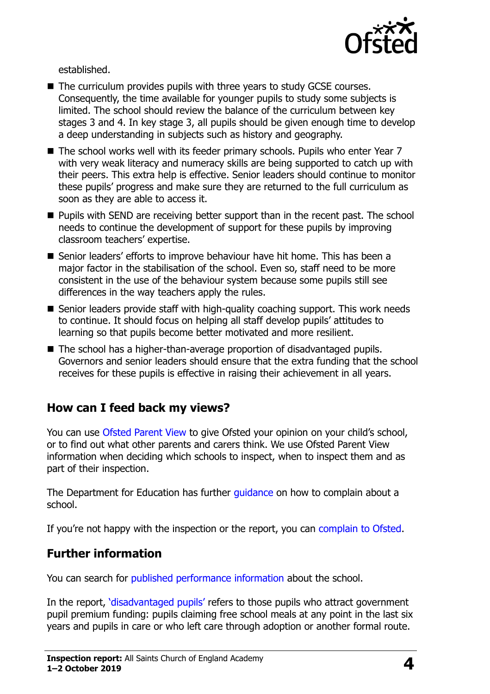

established.

- The curriculum provides pupils with three years to study GCSE courses. Consequently, the time available for younger pupils to study some subjects is limited. The school should review the balance of the curriculum between key stages 3 and 4. In key stage 3, all pupils should be given enough time to develop a deep understanding in subjects such as history and geography.
- The school works well with its feeder primary schools. Pupils who enter Year 7 with very weak literacy and numeracy skills are being supported to catch up with their peers. This extra help is effective. Senior leaders should continue to monitor these pupils' progress and make sure they are returned to the full curriculum as soon as they are able to access it.
- **Pupils with SEND are receiving better support than in the recent past. The school** needs to continue the development of support for these pupils by improving classroom teachers' expertise.
- Senior leaders' efforts to improve behaviour have hit home. This has been a major factor in the stabilisation of the school. Even so, staff need to be more consistent in the use of the behaviour system because some pupils still see differences in the way teachers apply the rules.
- $\blacksquare$  Senior leaders provide staff with high-quality coaching support. This work needs to continue. It should focus on helping all staff develop pupils' attitudes to learning so that pupils become better motivated and more resilient.
- The school has a higher-than-average proportion of disadvantaged pupils. Governors and senior leaders should ensure that the extra funding that the school receives for these pupils is effective in raising their achievement in all years.

# **How can I feed back my views?**

You can use [Ofsted Parent View](http://parentview.ofsted.gov.uk/) to give Ofsted your opinion on your child's school, or to find out what other parents and carers think. We use Ofsted Parent View information when deciding which schools to inspect, when to inspect them and as part of their inspection.

The Department for Education has further quidance on how to complain about a school.

If you're not happy with the inspection or the report, you can [complain to Ofsted.](http://www.gov.uk/complain-ofsted-report)

# **Further information**

You can search for [published performance information](http://www.compare-school-performance.service.gov.uk/) about the school.

In the report, '[disadvantaged pupils](http://www.gov.uk/guidance/pupil-premium-information-for-schools-and-alternative-provision-settings)' refers to those pupils who attract government pupil premium funding: pupils claiming free school meals at any point in the last six years and pupils in care or who left care through adoption or another formal route.

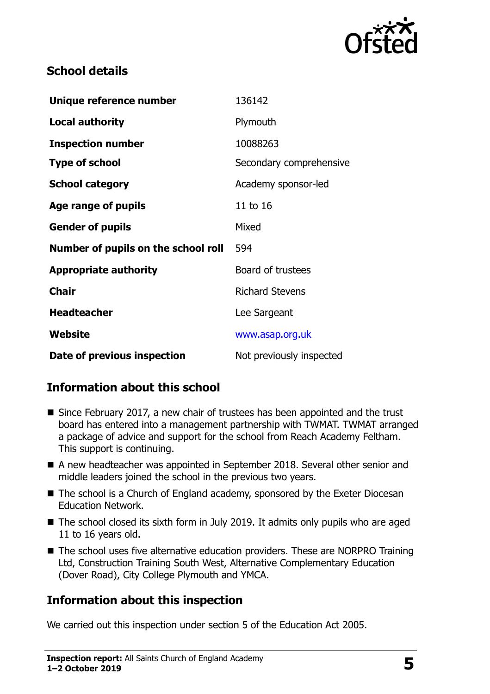

#### **School details**

| Unique reference number             | 136142                   |
|-------------------------------------|--------------------------|
| <b>Local authority</b>              | Plymouth                 |
| <b>Inspection number</b>            | 10088263                 |
| <b>Type of school</b>               | Secondary comprehensive  |
| <b>School category</b>              | Academy sponsor-led      |
| Age range of pupils                 | 11 to 16                 |
| <b>Gender of pupils</b>             | Mixed                    |
| Number of pupils on the school roll | 594                      |
| <b>Appropriate authority</b>        | Board of trustees        |
| <b>Chair</b>                        | <b>Richard Stevens</b>   |
| <b>Headteacher</b>                  | Lee Sargeant             |
| Website                             | www.asap.org.uk          |
| Date of previous inspection         | Not previously inspected |

# **Information about this school**

- Since February 2017, a new chair of trustees has been appointed and the trust board has entered into a management partnership with TWMAT. TWMAT arranged a package of advice and support for the school from Reach Academy Feltham. This support is continuing.
- A new headteacher was appointed in September 2018. Several other senior and middle leaders joined the school in the previous two years.
- The school is a Church of England academy, sponsored by the Exeter Diocesan Education Network.
- The school closed its sixth form in July 2019. It admits only pupils who are aged 11 to 16 years old.
- The school uses five alternative education providers. These are NORPRO Training Ltd, Construction Training South West, Alternative Complementary Education (Dover Road), City College Plymouth and YMCA.

# **Information about this inspection**

We carried out this inspection under section 5 of the Education Act 2005.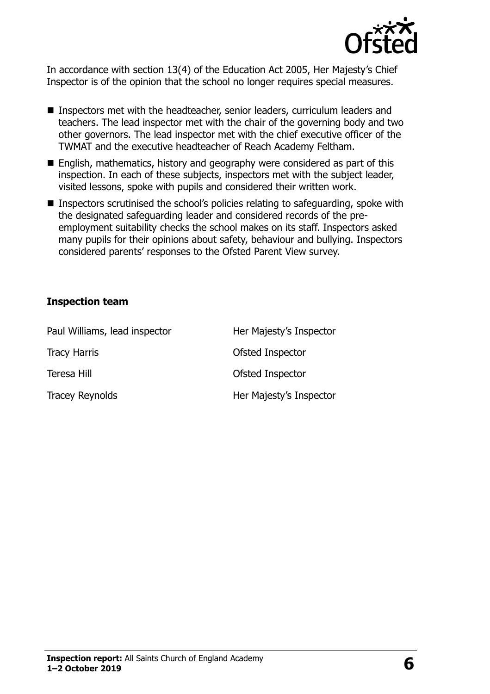

In accordance with section 13(4) of the Education Act 2005, Her Majesty's Chief Inspector is of the opinion that the school no longer requires special measures.

- Inspectors met with the headteacher, senior leaders, curriculum leaders and teachers. The lead inspector met with the chair of the governing body and two other governors. The lead inspector met with the chief executive officer of the TWMAT and the executive headteacher of Reach Academy Feltham.
- English, mathematics, history and geography were considered as part of this inspection. In each of these subjects, inspectors met with the subject leader, visited lessons, spoke with pupils and considered their written work.
- Inspectors scrutinised the school's policies relating to safeguarding, spoke with the designated safeguarding leader and considered records of the preemployment suitability checks the school makes on its staff. Inspectors asked many pupils for their opinions about safety, behaviour and bullying. Inspectors considered parents' responses to the Ofsted Parent View survey.

#### **Inspection team**

| Paul Williams, lead inspector | Her Majesty's Inspector |
|-------------------------------|-------------------------|
| <b>Tracy Harris</b>           | Ofsted Inspector        |
| Teresa Hill                   | Ofsted Inspector        |
| <b>Tracey Reynolds</b>        | Her Majesty's Inspector |